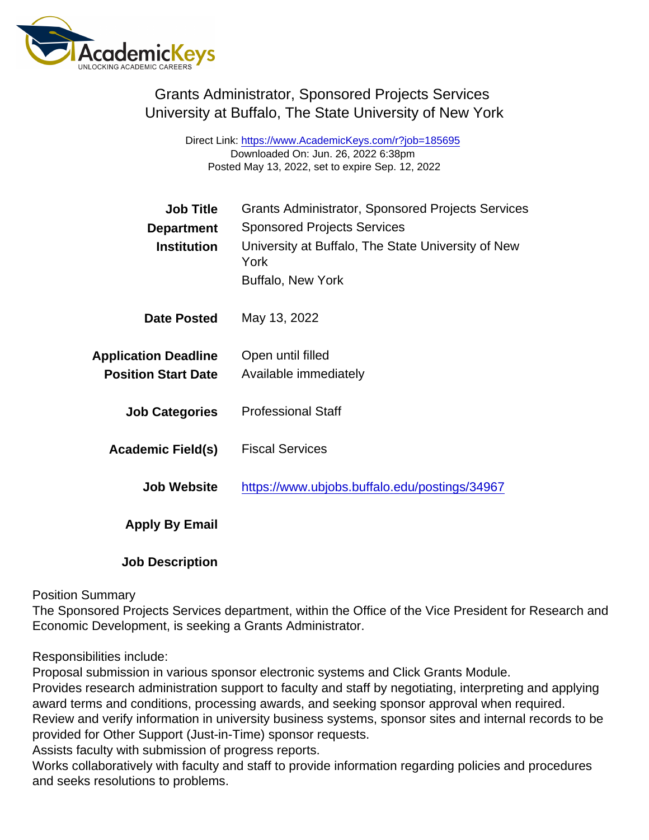# Grants Administrator, Sponsored Projects Services University at Buffalo, The State University of New York

Direct Link: <https://www.AcademicKeys.com/r?job=185695> Downloaded On: Jun. 26, 2022 6:38pm Posted May 13, 2022, set to expire Sep. 12, 2022

| <b>Job Title</b>            | <b>Grants Administrator, Sponsored Projects Services</b>   |
|-----------------------------|------------------------------------------------------------|
| Department                  | <b>Sponsored Projects Services</b>                         |
| Institution                 | University at Buffalo, The State University of New<br>York |
|                             | <b>Buffalo, New York</b>                                   |
| Date Posted                 | May 13, 2022                                               |
| <b>Application Deadline</b> | Open until filled                                          |
| <b>Position Start Date</b>  | Available immediately                                      |
| <b>Job Categories</b>       | <b>Professional Staff</b>                                  |
| Academic Field(s)           | <b>Fiscal Services</b>                                     |
| <b>Job Website</b>          | https://www.ubjobs.buffalo.edu/postings/34967              |
| Apply By Email              |                                                            |
| <b>Job Description</b>      |                                                            |

### Position Summary

The Sponsored Projects Services department, within the Office of the Vice President for Research and Economic Development, is seeking a Grants Administrator.

Responsibilities include:

Proposal submission in various sponsor electronic systems and Click Grants Module.

Provides research administration support to faculty and staff by negotiating, interpreting and applying award terms and conditions, processing awards, and seeking sponsor approval when required.

Review and verify information in university business systems, sponsor sites and internal records to be provided for Other Support (Just-in-Time) sponsor requests.

Assists faculty with submission of progress reports.

Works collaboratively with faculty and staff to provide information regarding policies and procedures and seeks resolutions to problems.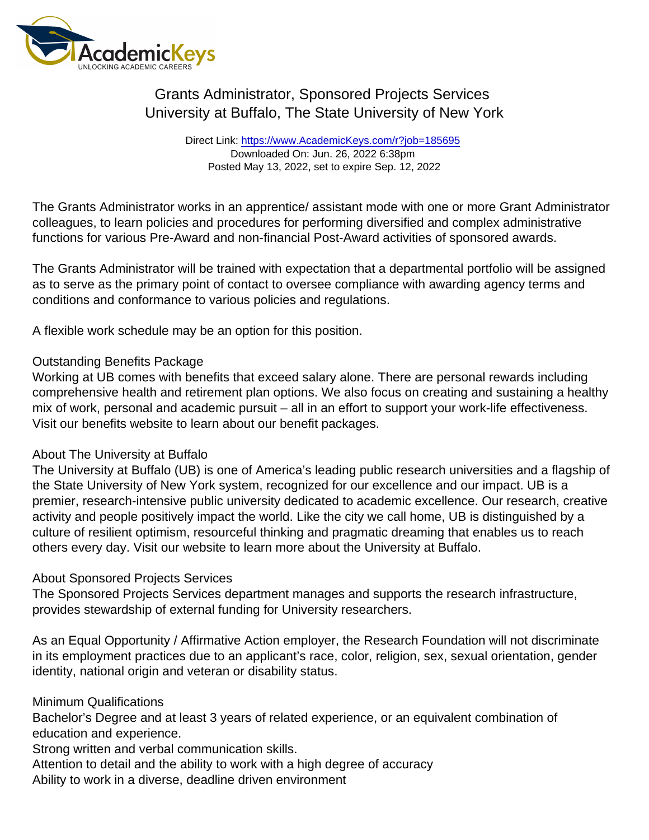# Grants Administrator, Sponsored Projects Services University at Buffalo, The State University of New York

Direct Link: <https://www.AcademicKeys.com/r?job=185695> Downloaded On: Jun. 26, 2022 6:38pm Posted May 13, 2022, set to expire Sep. 12, 2022

The Grants Administrator works in an apprentice/ assistant mode with one or more Grant Administrator colleagues, to learn policies and procedures for performing diversified and complex administrative functions for various Pre-Award and non-financial Post-Award activities of sponsored awards.

The Grants Administrator will be trained with expectation that a departmental portfolio will be assigned as to serve as the primary point of contact to oversee compliance with awarding agency terms and conditions and conformance to various policies and regulations.

A flexible work schedule may be an option for this position.

### Outstanding Benefits Package

Working at UB comes with benefits that exceed salary alone. There are personal rewards including comprehensive health and retirement plan options. We also focus on creating and sustaining a healthy mix of work, personal and academic pursuit – all in an effort to support your work-life effectiveness. Visit our benefits website to learn about our benefit packages.

## About The University at Buffalo

The University at Buffalo (UB) is one of America's leading public research universities and a flagship of the State University of New York system, recognized for our excellence and our impact. UB is a premier, research-intensive public university dedicated to academic excellence. Our research, creative activity and people positively impact the world. Like the city we call home, UB is distinguished by a culture of resilient optimism, resourceful thinking and pragmatic dreaming that enables us to reach others every day. Visit our website to learn more about the University at Buffalo.

### About Sponsored Projects Services

The Sponsored Projects Services department manages and supports the research infrastructure, provides stewardship of external funding for University researchers.

As an Equal Opportunity / Affirmative Action employer, the Research Foundation will not discriminate in its employment practices due to an applicant's race, color, religion, sex, sexual orientation, gender identity, national origin and veteran or disability status.

### Minimum Qualifications

Bachelor's Degree and at least 3 years of related experience, or an equivalent combination of education and experience.

Strong written and verbal communication skills.

Attention to detail and the ability to work with a high degree of accuracy

Ability to work in a diverse, deadline driven environment